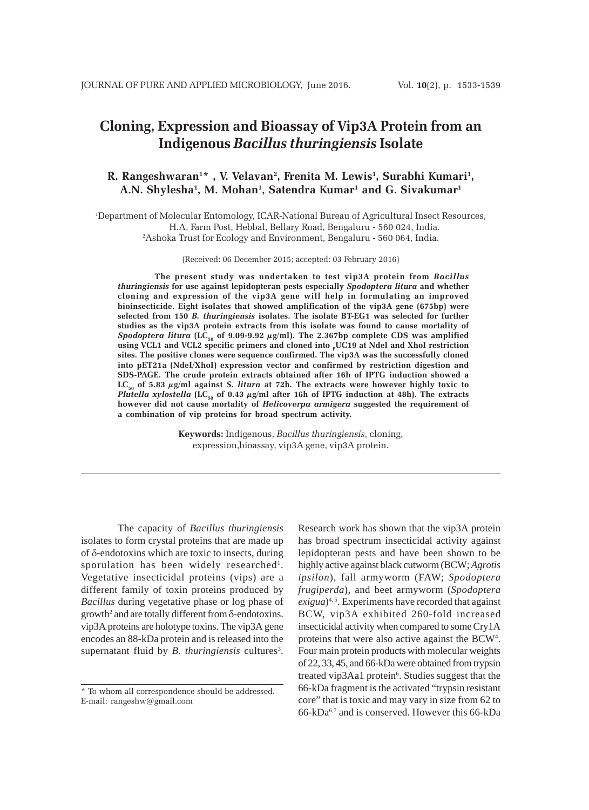# **Cloning, Expression and Bioassay of Vip3A Protein from an Indigenous** *Bacillus thuringiensis* **Isolate**

# **R. Rangeshwaran1 \* , V. Velavan2 , Frenita M. Lewis1 , Surabhi Kumari1 , A.N. Shylesha1 , M. Mohan1 , Satendra Kumar1 and G. Sivakumar1**

1 Department of Molecular Entomology, ICAR-National Bureau of Agricultural Insect Resources, H.A. Farm Post, Hebbal, Bellary Road, Bengaluru - 560 024, India. 2 Ashoka Trust for Ecology and Environment, Bengaluru - 560 064, India.

(Received: 06 December 2015; accepted: 03 February 2016)

**The present study was undertaken to test vip3A protein from** *Bacillus thuringiensis* **for use against lepidopteran pests especially** *Spodoptera litura* **and whether cloning and expression of the vip3A gene will help in formulating an improved bioinsecticide. Eight isolates that showed amplification of the vip3A gene (675bp) were selected from 150** *B. thuringiensis* **isolates. The isolate BT-EG1 was selected for further studies as the vip3A protein extracts from this isolate was found to cause mortality of** *Spodoptera litura* (LC<sub>50</sub> of 9.09-9.92  $\mu$ g/ml). The 2.367bp complete CDS was amplified using VCL1 and VCL2 specific primers and cloned into <sub>P</sub>UC19 at NdeI and XhoI restriction **sites. The positive clones were sequence confirmed. The vip3A was the successfully cloned into pET21a (NdeI/XhoI) expression vector and confirmed by restriction digestion and SDS-PAGE. The crude protein extracts obtained after 16h of IPTG induction showed a**  $LC_{50}$  of 5.83  $\mu$ g/ml against *S. litura* at 72h. The extracts were however highly toxic to *Plutella xylostella* (LC<sub>50</sub> of 0.43  $\mu$ g/ml after 16h of IPTG induction at 48h). The extracts **however did not cause mortality of** *Helicoverpa armigera* **suggested the requirement of a combination of vip proteins for broad spectrum activity.**

> **Keywords:** Indigenous, *Bacillus thuringiensis*, cloning, expression,bioassay, vip3A gene, vip3A protein.

The capacity of *Bacillus thuringiensis* isolates to form crystal proteins that are made up of δ-endotoxins which are toxic to insects, during sporulation has been widely researched<sup>1</sup>. Vegetative insecticidal proteins (vips) are a different family of toxin proteins produced by *Bacillus* during vegetative phase or log phase of growth2 and are totally different from δ-endotoxins. vip3A proteins are holotype toxins. The vip3A gene encodes an 88-kDa protein and is released into the supernatant fluid by *B. thuringiensis* cultures<sup>3</sup>.

Research work has shown that the vip3A protein has broad spectrum insecticidal activity against lepidopteran pests and have been shown to be highly active against black cutworm (BCW; *Agrotis ipsilon*), fall armyworm (FAW; *Spodoptera frugiperda*), and beet armyworm (*Spodoptera exigua*)<sup>4,5</sup>. Experiments have recorded that against BCW, vip3A exhibited 260-fold increased insecticidal activity when compared to some Cry1A proteins that were also active against the BCW<sup>4</sup>. Four main protein products with molecular weights of 22, 33, 45, and 66-kDa were obtained from trypsin treated vip3Aa1 protein<sup>6</sup>. Studies suggest that the 66-kDa fragment is the activated "trypsin resistant core" that is toxic and may vary in size from 62 to 66-kDa6,7 and is conserved. However this 66-kDa

<sup>\*</sup> To whom all correspondence should be addressed. E-mail: rangeshw@gmail.com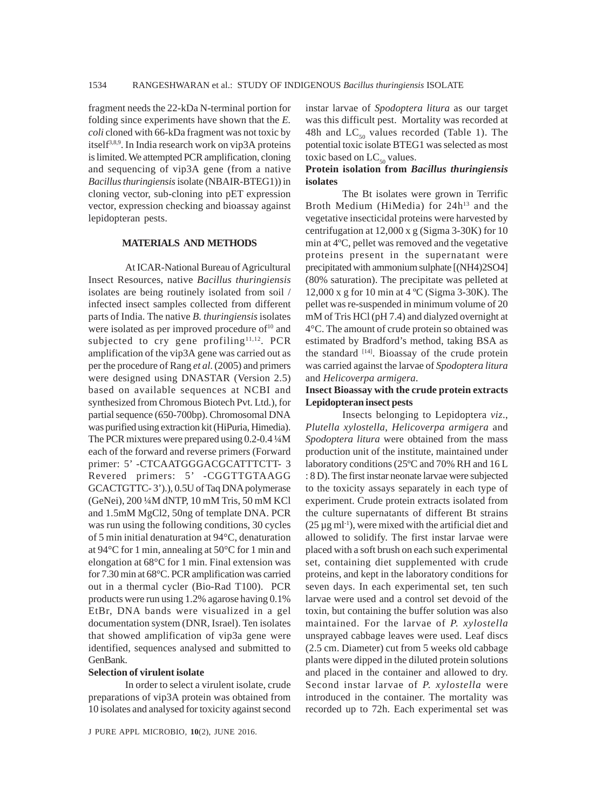fragment needs the 22-kDa N-terminal portion for folding since experiments have shown that the *E. coli* cloned with 66-kDa fragment was not toxic by itself<sup>3,8,9</sup>. In India research work on vip3A proteins is limited. We attempted PCR amplification, cloning and sequencing of vip3A gene (from a native *Bacillus thuringiensis* isolate (NBAIR-BTEG1)) in cloning vector, sub-cloning into pET expression vector, expression checking and bioassay against lepidopteran pests.

### **MATERIALS AND METHODS**

At ICAR-National Bureau of Agricultural Insect Resources, native *Bacillus thuringiensis* isolates are being routinely isolated from soil / infected insect samples collected from different parts of India. The native *B. thuringiensis* isolates were isolated as per improved procedure of<sup>10</sup> and subjected to cry gene profiling<sup>11,12</sup>. PCR amplification of the vip3A gene was carried out as per the procedure of Rang *et al*. (2005) and primers were designed using DNASTAR (Version 2.5) based on available sequences at NCBI and synthesized from Chromous Biotech Pvt. Ltd.), for partial sequence (650-700bp). Chromosomal DNA was purified using extraction kit (HiPuria, Himedia). The PCR mixtures were prepared using 0.2-0.4 ¼M each of the forward and reverse primers (Forward primer: 5' -CTCAATGGGACGCATTTCTT- 3 Revered primers: 5' -CGGTTGTAAGG GCACTGTTC- 3').), 0.5U of Taq DNA polymerase (GeNei), 200 ¼M dNTP, 10 mM Tris, 50 mM KCl and 1.5mM MgCl2, 50ng of template DNA. PCR was run using the following conditions, 30 cycles of 5 min initial denaturation at 94°C, denaturation at 94°C for 1 min, annealing at 50°C for 1 min and elongation at 68°C for 1 min. Final extension was for 7.30 min at 68°C. PCR amplification was carried out in a thermal cycler (Bio-Rad T100). PCR products were run using 1.2% agarose having 0.1% EtBr, DNA bands were visualized in a gel documentation system (DNR, Israel). Ten isolates that showed amplification of vip3a gene were identified, sequences analysed and submitted to GenBank.

#### **Selection of virulent isolate**

In order to select a virulent isolate, crude preparations of vip3A protein was obtained from 10 isolates and analysed for toxicity against second instar larvae of *Spodoptera litura* as our target was this difficult pest. Mortality was recorded at 48h and  $LC_{50}$  values recorded (Table 1). The potential toxic isolate BTEG1 was selected as most toxic based on  $LC_{50}$  values.

# **Protein isolation from** *Bacillus thuringiensis* **isolates**

The Bt isolates were grown in Terrific Broth Medium (HiMedia) for 24h<sup>13</sup> and the vegetative insecticidal proteins were harvested by centrifugation at 12,000 x g (Sigma 3-30K) for 10 min at 4ºC, pellet was removed and the vegetative proteins present in the supernatant were precipitated with ammonium sulphate [(NH4)2SO4] (80% saturation). The precipitate was pelleted at 12,000 x g for 10 min at 4 ºC (Sigma 3-30K). The pellet was re-suspended in minimum volume of 20 mM of Tris HCl (pH 7.4) and dialyzed overnight at 4°C. The amount of crude protein so obtained was estimated by Bradford's method, taking BSA as the standard  $[14]$ . Bioassay of the crude protein was carried against the larvae of *Spodoptera litura* and *Helicoverpa armigera*.

# **Insect Bioassay with the crude protein extracts Lepidopteran insect pests**

Insects belonging to Lepidoptera *viz*., *Plutella xylostella*, *Helicoverpa armigera* and *Spodoptera litura* were obtained from the mass production unit of the institute, maintained under laboratory conditions (25ºC and 70% RH and 16 L : 8 D). The first instar neonate larvae were subjected to the toxicity assays separately in each type of experiment. Crude protein extracts isolated from the culture supernatants of different Bt strains  $(25 \mu g \text{ ml}^{-1})$ , were mixed with the artificial diet and allowed to solidify. The first instar larvae were placed with a soft brush on each such experimental set, containing diet supplemented with crude proteins, and kept in the laboratory conditions for seven days. In each experimental set, ten such larvae were used and a control set devoid of the toxin, but containing the buffer solution was also maintained. For the larvae of *P. xylostella* unsprayed cabbage leaves were used. Leaf discs (2.5 cm. Diameter) cut from 5 weeks old cabbage plants were dipped in the diluted protein solutions and placed in the container and allowed to dry. Second instar larvae of *P. xylostella* were introduced in the container. The mortality was recorded up to 72h. Each experimental set was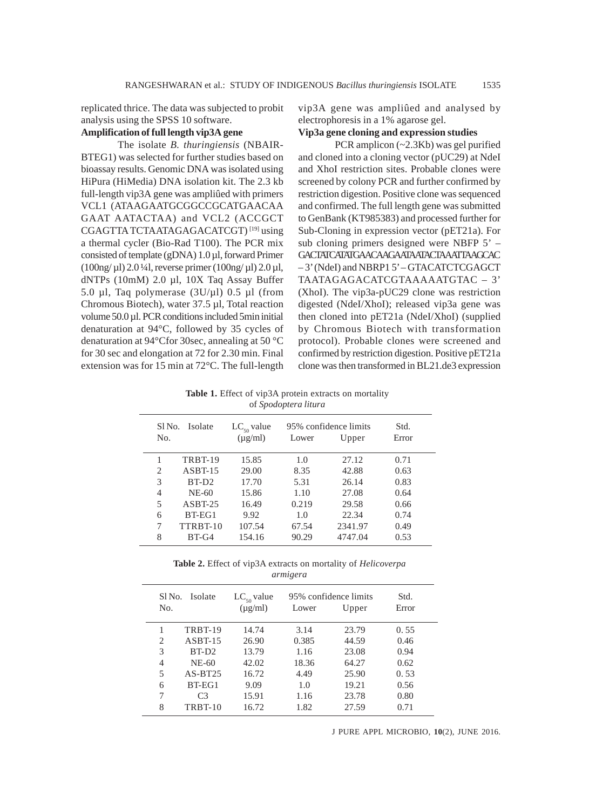replicated thrice. The data was subjected to probit analysis using the SPSS 10 software.

# **Amplification of full length vip3A gene**

The isolate *B. thuringiensis* (NBAIR-BTEG1) was selected for further studies based on bioassay results. Genomic DNA was isolated using HiPura (HiMedia) DNA isolation kit. The 2.3 kb full-length vip3A gene was ampliûed with primers VCL1 (ATAAGAATGCGGCCGCATGAACAA GAAT AATACTAA) and VCL2 (ACCGCT CGAGTTA TCTAATAGAGACATCGT) [19] using a thermal cycler (Bio-Rad T100). The PCR mix consisted of template (gDNA) 1.0 µl, forward Primer  $(100ng/\mu l) 2.0 \frac{1}{4}$ , reverse primer  $(100ng/\mu l) 2.0 \mu l$ , dNTPs (10mM) 2.0 µl, 10X Taq Assay Buffer 5.0 µl, Taq polymerase (3U/µl) 0.5 µl (from Chromous Biotech), water 37.5 µl, Total reaction volume 50.0 µl. PCR conditions included 5min initial denaturation at 94°C, followed by 35 cycles of denaturation at 94°Cfor 30sec, annealing at 50 °C for 30 sec and elongation at 72 for 2.30 min. Final extension was for 15 min at 72°C. The full-length vip3A gene was ampliûed and analysed by electrophoresis in a 1% agarose gel.

# **Vip3a gene cloning and expression studies**

PCR amplicon (~2.3Kb) was gel purified and cloned into a cloning vector (pUC29) at NdeI and XhoI restriction sites. Probable clones were screened by colony PCR and further confirmed by restriction digestion. Positive clone was sequenced and confirmed. The full length gene was submitted to GenBank (KT985383) and processed further for Sub-Cloning in expression vector (pET21a). For sub cloning primers designed were NBFP 5' – GACTATCATATGAACAAGAATAATACTAAATTAAGCAC – 3' (NdeI) and NBRP1 5' – GTACATCTCGAGCT TAATAGAGACATCGTAAAAATGTAC – 3' (XhoI). The vip3a-pUC29 clone was restriction digested (NdeI/XhoI); released vip3a gene was then cloned into pET21a (NdeI/XhoI) (supplied by Chromous Biotech with transformation protocol). Probable clones were screened and confirmed by restriction digestion. Positive pET21a clone was then transformed in BL21.de3 expression

**Table 1.** Effect of vip3A protein extracts on mortality of *Spodoptera litura*

| Sl No.<br>N <sub>0</sub> | Isolate   | $LC_{50}$ value<br>$(\mu$ g/ml) | Lower | 95% confidence limits<br>Upper | Std.<br>Error |
|--------------------------|-----------|---------------------------------|-------|--------------------------------|---------------|
|                          | TRBT-19   | 15.85                           | 1.0   | 27.12                          | 0.71          |
| 2                        | $ASBT-15$ | 29.00                           | 8.35  | 42.88                          | 0.63          |
| 3                        | $RT-D2$   | 17.70                           | 5.31  | 26.14                          | 0.83          |
| 4                        | $NE-60$   | 15.86                           | 1.10  | 27.08                          | 0.64          |
| 5                        | $ASBT-25$ | 16.49                           | 0.219 | 29.58                          | 0.66          |
| 6                        | BT-EG1    | 9.92                            | 1.0   | 22.34                          | 0.74          |
| 7                        | TTRBT-10  | 107.54                          | 67.54 | 2341.97                        | 0.49          |
| 8                        | $BT-G4$   | 154.16                          | 90.29 | 4747.04                        | 0.53          |
|                          |           |                                 |       |                                |               |

**Table 2.** Effect of vip3A extracts on mortality of *Helicoverpa armigera*

| Sl <sub>No.</sub> | Isolate           | $LC_{50}$ value | 95% confidence limits |       | Std.  |
|-------------------|-------------------|-----------------|-----------------------|-------|-------|
| No.               |                   | $(\mu g/ml)$    | Lower                 | Upper | Error |
|                   | TRBT-19           | 14.74           | 3.14                  | 23.79 | 0.55  |
| $\overline{c}$    | $ASBT-15$         | 26.90           | 0.385                 | 44.59 | 0.46  |
| 3                 | BT-D <sub>2</sub> | 13.79           | 1.16                  | 23.08 | 0.94  |
| 4                 | NE-60             | 42.02           | 18.36                 | 64.27 | 0.62  |
| 5                 | $AS-BT25$         | 16.72           | 4.49                  | 25.90 | 0.53  |
| 6                 | $BT-EG1$          | 9.09            | 1.0                   | 19.21 | 0.56  |
| 7                 | C <sub>3</sub>    | 15.91           | 1.16                  | 23.78 | 0.80  |
| 8                 | <b>TRBT-10</b>    | 16.72           | 1.82                  | 27.59 | 0.71  |

J PURE APPL MICROBIO*,* **10**(2), JUNE 2016.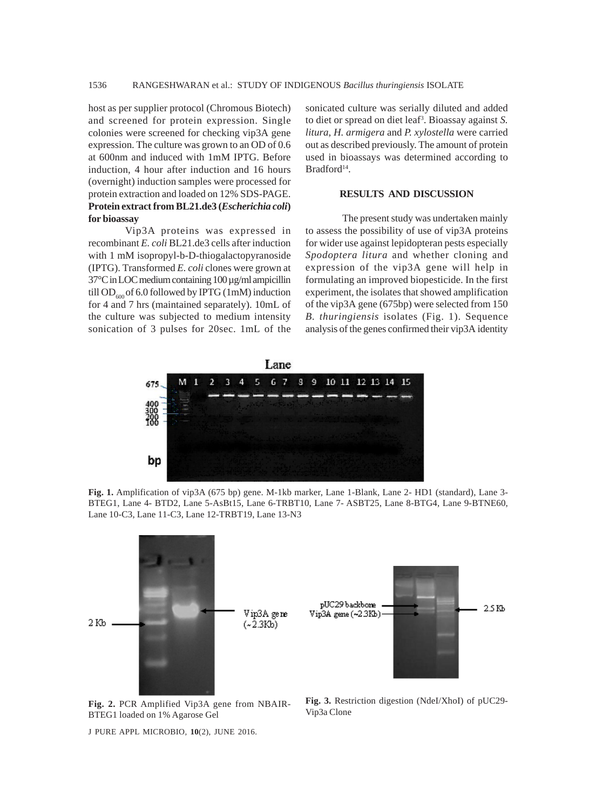host as per supplier protocol (Chromous Biotech) and screened for protein expression. Single colonies were screened for checking vip3A gene expression. The culture was grown to an OD of 0.6 at 600nm and induced with 1mM IPTG. Before induction, 4 hour after induction and 16 hours (overnight) induction samples were processed for protein extraction and loaded on 12% SDS-PAGE. **Protein extract from BL21.de3 (***Escherichia coli***) for bioassay**

Vip3A proteins was expressed in recombinant *E. coli* BL21.de3 cells after induction with 1 mM isopropyl-b-D-thiogalactopyranoside (IPTG). Transformed *E. coli* clones were grown at 37°C in LOC medium containing 100 µg/ml ampicillin till OD $_{600}$  of 6.0 followed by IPTG (1mM) induction for 4 and 7 hrs (maintained separately). 10mL of the culture was subjected to medium intensity sonication of 3 pulses for 20sec. 1mL of the

sonicated culture was serially diluted and added to diet or spread on diet leaf3 . Bioassay against *S. litura, H. armigera* and *P. xylostella* were carried out as described previously. The amount of protein used in bioassays was determined according to Bradford<sup>14</sup>.

## **RESULTS AND DISCUSSION**

The present study was undertaken mainly to assess the possibility of use of vip3A proteins for wider use against lepidopteran pests especially *Spodoptera litura* and whether cloning and expression of the vip3A gene will help in formulating an improved biopesticide. In the first experiment, the isolates that showed amplification of the vip3A gene (675bp) were selected from 150 *B. thuringiensis* isolates (Fig. 1). Sequence analysis of the genes confirmed their vip3A identity



**Fig. 1.** Amplification of vip3A (675 bp) gene. M-1kb marker, Lane 1-Blank, Lane 2- HD1 (standard), Lane 3- BTEG1, Lane 4- BTD2, Lane 5-AsBt15, Lane 6-TRBT10, Lane 7- ASBT25, Lane 8-BTG4, Lane 9-BTNE60, Lane 10-C3, Lane 11-C3, Lane 12-TRBT19, Lane 13-N3



**Fig. 2.** PCR Amplified Vip3A gene from NBAIR-BTEG1 loaded on 1% Agarose Gel

J PURE APPL MICROBIO*,* **10**(2), JUNE 2016.

**Fig. 3.** Restriction digestion (NdeI/XhoI) of pUC29- Vip3a Clone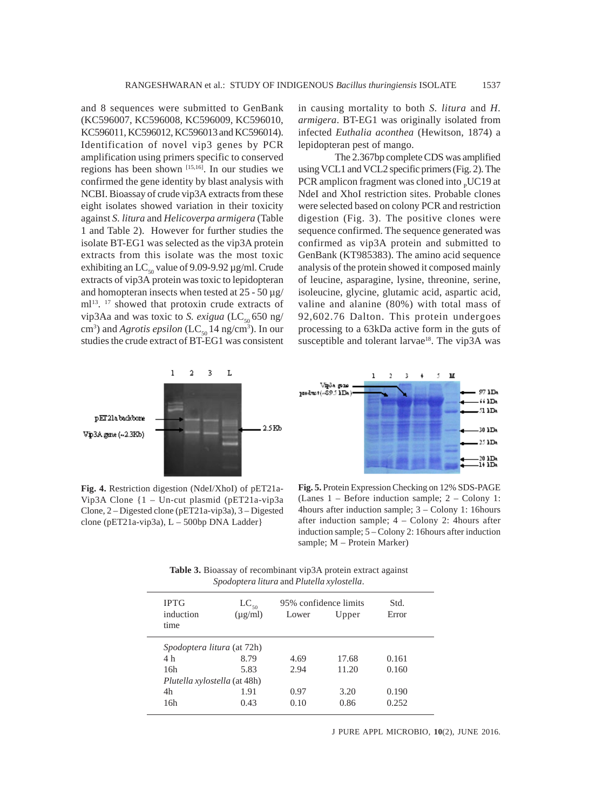and 8 sequences were submitted to GenBank (KC596007, KC596008, KC596009, KC596010, KC596011, KC596012, KC596013 and KC596014). Identification of novel vip3 genes by PCR amplification using primers specific to conserved regions has been shown [15,16]. In our studies we confirmed the gene identity by blast analysis with NCBI. Bioassay of crude vip3A extracts from these eight isolates showed variation in their toxicity against *S. litura* and *Helicoverpa armigera* (Table 1 and Table 2). However for further studies the isolate BT-EG1 was selected as the vip3A protein extracts from this isolate was the most toxic exhibiting an LC<sub>50</sub> value of 9.09-9.92  $\mu$ g/ml. Crude extracts of vip3A protein was toxic to lepidopteran and homopteran insects when tested at  $25 - 50 \,\mu g$ / ml<sup>13</sup>. <sup>17</sup> showed that protoxin crude extracts of vip3Aa and was toxic to *S. exigua* ( $LC_{50}$ 650 ng/ cm<sup>3</sup>) and *Agrotis epsilon* (LC<sub>50</sub> 14 ng/cm<sup>3</sup>). In our studies the crude extract of BT-EG1 was consistent in causing mortality to both *S. litura* and *H. armigera*. BT-EG1 was originally isolated from infected *Euthalia aconthea* (Hewitson, 1874) a lepidopteran pest of mango.

The 2.367bp complete CDS was amplified using VCL1 and VCL2 specific primers (Fig. 2). The PCR amplicon fragment was cloned into  $_{\text{p}}$ UC19 at NdeI and XhoI restriction sites. Probable clones were selected based on colony PCR and restriction digestion (Fig. 3). The positive clones were sequence confirmed. The sequence generated was confirmed as vip3A protein and submitted to GenBank (KT985383). The amino acid sequence analysis of the protein showed it composed mainly of leucine, asparagine, lysine, threonine, serine, isoleucine, glycine, glutamic acid, aspartic acid, valine and alanine (80%) with total mass of 92,602.76 Dalton. This protein undergoes processing to a 63kDa active form in the guts of susceptible and tolerant larvae<sup>18</sup>. The vip3A was





**Fig. 4.** Restriction digestion (NdeI/XhoI) of pET21a-Vip3A Clone {1 – Un-cut plasmid (pET21a-vip3a Clone, 2 – Digested clone (pET21a-vip3a), 3 – Digested clone (pET21a-vip3a),  $L - 500$ bp DNA Ladder}

**Fig. 5.** Protein Expression Checking on 12% SDS-PAGE (Lanes 1 – Before induction sample; 2 – Colony 1: 4hours after induction sample; 3 – Colony 1: 16hours after induction sample; 4 – Colony 2: 4hours after induction sample; 5 – Colony 2: 16hours after induction sample; M – Protein Marker)

**Table 3.** Bioassay of recombinant vip3A protein extract against *Spodoptera litura* and *Plutella xylostella*.

| <b>IPTG</b><br>induction<br>time    | $LC_{50}$<br>$(\mu$ g/ml) | 95% confidence limits<br>Lower | Upper | Std.<br>Error |  |  |  |
|-------------------------------------|---------------------------|--------------------------------|-------|---------------|--|--|--|
| <i>Spodoptera litura</i> (at 72h)   |                           |                                |       |               |  |  |  |
| 4 h                                 | 8.79                      | 4.69                           | 17.68 | 0.161         |  |  |  |
| 16h                                 | 5.83                      | 2.94                           | 11.20 | 0.160         |  |  |  |
| <i>Plutella xylostella</i> (at 48h) |                           |                                |       |               |  |  |  |
| 4h                                  | 1.91                      | 0.97                           | 3.20  | 0.190         |  |  |  |
| 16h                                 | 0.43                      | 0.10                           | 0.86  | 0.252         |  |  |  |
|                                     |                           |                                |       |               |  |  |  |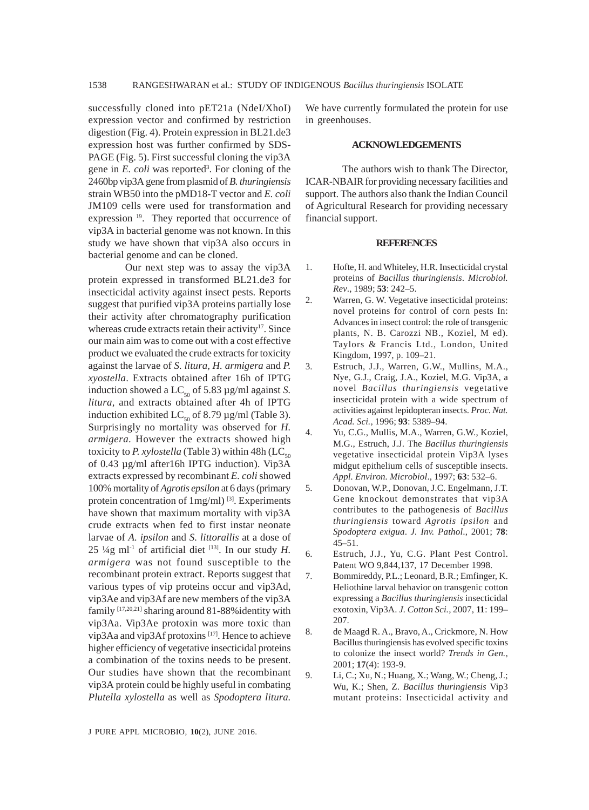successfully cloned into pET21a (NdeI/XhoI) expression vector and confirmed by restriction digestion (Fig. 4). Protein expression in BL21.de3 expression host was further confirmed by SDS-PAGE (Fig. 5). First successful cloning the vip3A gene in *E. coli* was reported<sup>3</sup>. For cloning of the 2460bp vip3A gene from plasmid of *B. thuringiensis* strain WB50 into the pMD18-T vector and *E. coli* JM109 cells were used for transformation and expression  $19$ . They reported that occurrence of vip3A in bacterial genome was not known. In this study we have shown that vip3A also occurs in bacterial genome and can be cloned.

Our next step was to assay the vip3A protein expressed in transformed BL21.de3 for insecticidal activity against insect pests. Reports suggest that purified vip3A proteins partially lose their activity after chromatography purification whereas crude extracts retain their activity<sup>17</sup>. Since our main aim was to come out with a cost effective product we evaluated the crude extracts for toxicity against the larvae of *S. litura, H. armigera* and *P. xyostella*. Extracts obtained after 16h of IPTG induction showed a LC<sub>50</sub> of 5.83  $\mu$ g/ml against *S*. *litura,* and extracts obtained after 4h of IPTG induction exhibited LC<sub>50</sub> of 8.79  $\mu$ g/ml (Table 3). Surprisingly no mortality was observed for *H. armigera*. However the extracts showed high toxicity to *P. xylostella* (Table 3) within 48h (LC<sub>50</sub>) of 0.43 µg/ml after16h IPTG induction). Vip3A extracts expressed by recombinant *E. coli* showed 100% mortality of *Agrotis epsilon* at 6 days (primary protein concentration of 1mg/ml)<sup>[3]</sup>. Experiments have shown that maximum mortality with vip3A crude extracts when fed to first instar neonate larvae of *A. ipsilon* and *S. littorallis* at a dose of  $25 \frac{1}{4}$ g ml<sup>-1</sup> of artificial diet <sup>[13]</sup>. In our study *H*. *armigera* was not found susceptible to the recombinant protein extract. Reports suggest that various types of vip proteins occur and vip3Ad, vip3Ae and vip3Af are new members of the vip3A family [17,20,21] sharing around 81-88%identity with vip3Aa. Vip3Ae protoxin was more toxic than vip3Aa and vip3Af protoxins [17]. Hence to achieve higher efficiency of vegetative insecticidal proteins a combination of the toxins needs to be present. Our studies have shown that the recombinant vip3A protein could be highly useful in combating *Plutella xylostella* as well as *Spodoptera litura.*

We have currently formulated the protein for use in greenhouses.

### **ACKNOWLEDGEMENTS**

The authors wish to thank The Director, ICAR-NBAIR for providing necessary facilities and support. The authors also thank the Indian Council of Agricultural Research for providing necessary financial support.

#### **REFERENCES**

- 1. Hofte, H. and Whiteley, H.R. Insecticidal crystal proteins of *Bacillus thuringiensis*. *Microbiol. Rev*., 1989; **53**: 242–5.
- 2. Warren, G. W. Vegetative insecticidal proteins: novel proteins for control of corn pests In: Advances in insect control: the role of transgenic plants, N. B. Carozzi NB., Koziel, M ed). Taylors & Francis Ltd., London, United Kingdom, 1997, p. 109–21.
- 3. Estruch, J.J., Warren, G.W., Mullins, M.A., Nye, G.J., Craig, J.A., Koziel, M.G. Vip3A, a novel *Bacillus thuringiensis* vegetative insecticidal protein with a wide spectrum of activities against lepidopteran insects. *Proc. Nat. Acad. Sci.,* 1996; **93**: 5389–94.
- 4. Yu, C.G., Mullis, M.A., Warren, G.W., Koziel, M.G., Estruch, J.J. The *Bacillus thuringiensis* vegetative insecticidal protein Vip3A lyses midgut epithelium cells of susceptible insects. *Appl. Environ. Microbiol*., 1997; **63**: 532–6.
- 5. Donovan, W.P., Donovan, J.C. Engelmann, J.T. Gene knockout demonstrates that vip3A contributes to the pathogenesis of *Bacillus thuringiensis* toward *Agrotis ipsilon* and *Spodoptera exigua*. *J. Inv. Pathol*., 2001; **78**: 45–51.
- 6. Estruch, J.J., Yu, C.G. Plant Pest Control. Patent WO 9,844,137, 17 December 1998.
- 7. Bommireddy, P.L.; Leonard, B.R.; Emfinger, K. Heliothine larval behavior on transgenic cotton expressing a *Bacillus thuringiensis* insecticidal exotoxin, Vip3A. *J. Cotton Sci.,* 2007, **11**: 199– 207.
- 8. de Maagd R. A., Bravo, A., Crickmore, N. How Bacillus thuringiensis has evolved specific toxins to colonize the insect world? *Trends in Gen.,* 2001; **17**(4): 193-9.
- 9. Li, C.; Xu, N.; Huang, X.; Wang, W.; Cheng, J.; Wu, K.; Shen, Z. *Bacillus thuringiensis* Vip3 mutant proteins: Insecticidal activity and